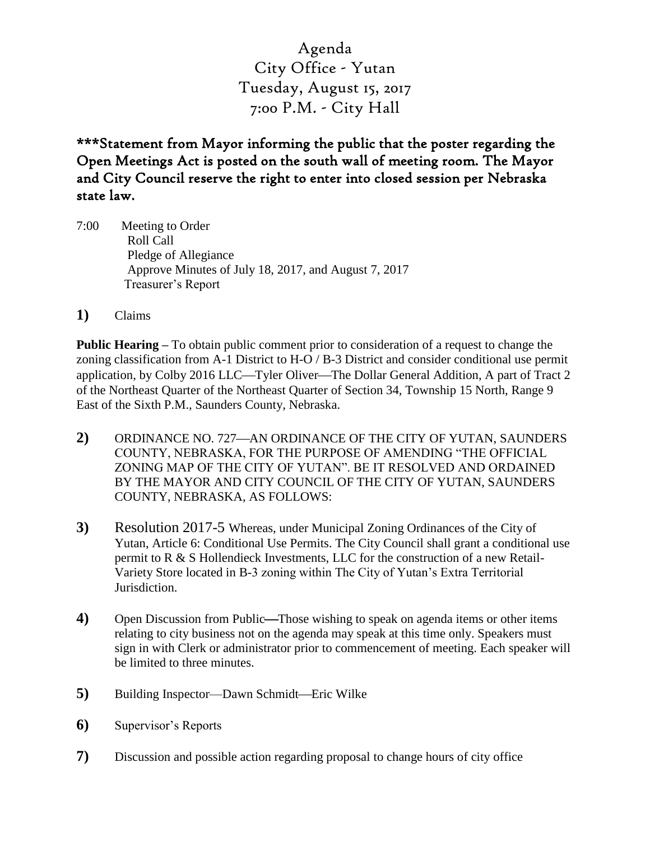Agenda City Office - Yutan Tuesday, August 15, 2017 7:00 P.M. - City Hall

\*\*\*Statement from Mayor informing the public that the poster regarding the Open Meetings Act is posted on the south wall of meeting room. The Mayor and City Council reserve the right to enter into closed session per Nebraska state law.

- 7:00 Meeting to Order Roll Call Pledge of Allegiance Approve Minutes of July 18, 2017, and August 7, 2017 Treasurer's Report
- **1)** Claims

**Public Hearing –** To obtain public comment prior to consideration of a request to change the zoning classification from A-1 District to H-O / B-3 District and consider conditional use permit application, by Colby 2016 LLC—Tyler Oliver—The Dollar General Addition, A part of Tract 2 of the Northeast Quarter of the Northeast Quarter of Section 34, Township 15 North, Range 9 East of the Sixth P.M., Saunders County, Nebraska.

- 2) ORDINANCE NO. 727—AN ORDINANCE OF THE CITY OF YUTAN, SAUNDERS COUNTY, NEBRASKA, FOR THE PURPOSE OF AMENDING "THE OFFICIAL ZONING MAP OF THE CITY OF YUTAN". BE IT RESOLVED AND ORDAINED BY THE MAYOR AND CITY COUNCIL OF THE CITY OF YUTAN, SAUNDERS COUNTY, NEBRASKA, AS FOLLOWS:
- **3)** Resolution 2017-5 Whereas, under Municipal Zoning Ordinances of the City of Yutan, Article 6: Conditional Use Permits. The City Council shall grant a conditional use permit to R & S Hollendieck Investments, LLC for the construction of a new Retail-Variety Store located in B-3 zoning within The City of Yutan's Extra Territorial Jurisdiction.
- **4)** Open Discussion from Public—Those wishing to speak on agenda items or other items relating to city business not on the agenda may speak at this time only. Speakers must sign in with Clerk or administrator prior to commencement of meeting. Each speaker will be limited to three minutes.
- **5**) Building Inspector—Dawn Schmidt—Eric Wilke
- **6)** Supervisor's Reports
- **7)** Discussion and possible action regarding proposal to change hours of city office